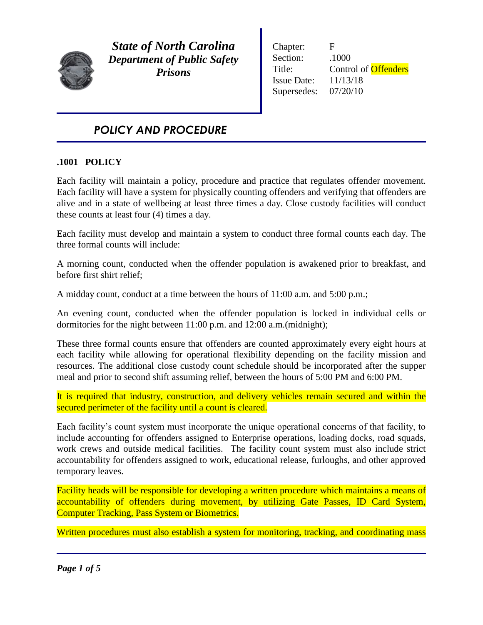

*State of North Carolina Department of Public Safety Prisons*

Chapter: F Section:  $.1000$ Title: Control of **Offenders** Issue Date: 11/13/18 Supersedes: 07/20/10

# *POLICY AND PROCEDURE*

### **.1001 POLICY**

Each facility will maintain a policy, procedure and practice that regulates offender movement. Each facility will have a system for physically counting offenders and verifying that offenders are alive and in a state of wellbeing at least three times a day. Close custody facilities will conduct these counts at least four (4) times a day.

Each facility must develop and maintain a system to conduct three formal counts each day. The three formal counts will include:

A morning count, conducted when the offender population is awakened prior to breakfast, and before first shirt relief;

A midday count, conduct at a time between the hours of 11:00 a.m. and 5:00 p.m.;

An evening count, conducted when the offender population is locked in individual cells or dormitories for the night between 11:00 p.m. and 12:00 a.m.(midnight);

These three formal counts ensure that offenders are counted approximately every eight hours at each facility while allowing for operational flexibility depending on the facility mission and resources. The additional close custody count schedule should be incorporated after the supper meal and prior to second shift assuming relief, between the hours of 5:00 PM and 6:00 PM.

It is required that industry, construction, and delivery vehicles remain secured and within the secured perimeter of the facility until a count is cleared.

Each facility's count system must incorporate the unique operational concerns of that facility, to include accounting for offenders assigned to Enterprise operations, loading docks, road squads, work crews and outside medical facilities. The facility count system must also include strict accountability for offenders assigned to work, educational release, furloughs, and other approved temporary leaves.

Facility heads will be responsible for developing a written procedure which maintains a means of accountability of offenders during movement, by utilizing Gate Passes, ID Card System, Computer Tracking, Pass System or Biometrics.

Written procedures must also establish a system for monitoring, tracking, and coordinating mass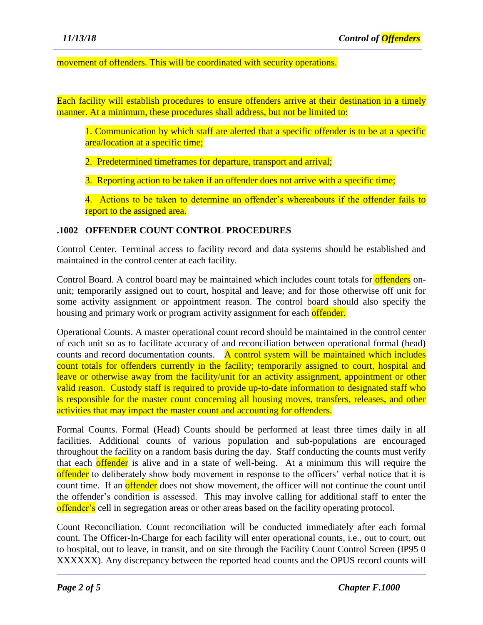#### movement of offenders. This will be coordinated with security operations.

Each facility will establish procedures to ensure offenders arrive at their destination in a timely manner. At a minimum, these procedures shall address, but not be limited to:

1. Communication by which staff are alerted that a specific offender is to be at a specific area/location at a specific time;

2. Predetermined timeframes for departure, transport and arrival;

3. Reporting action to be taken if an offender does not arrive with a specific time;

4. Actions to be taken to determine an offender's whereabouts if the offender fails to report to the assigned area.

#### **.1002 OFFENDER COUNT CONTROL PROCEDURES**

Control Center. Terminal access to facility record and data systems should be established and maintained in the control center at each facility.

Control Board. A control board may be maintained which includes count totals for **offenders** onunit; temporarily assigned out to court, hospital and leave; and for those otherwise off unit for some activity assignment or appointment reason. The control board should also specify the housing and primary work or program activity assignment for each offender.

Operational Counts. A master operational count record should be maintained in the control center of each unit so as to facilitate accuracy of and reconciliation between operational formal (head) counts and record documentation counts. A control system will be maintained which includes count totals for offenders currently in the facility; temporarily assigned to court, hospital and leave or otherwise away from the facility/unit for an activity assignment, appointment or other valid reason. Custody staff is required to provide up-to-date information to designated staff who is responsible for the master count concerning all housing moves, transfers, releases, and other activities that may impact the master count and accounting for offenders.

Formal Counts. Formal (Head) Counts should be performed at least three times daily in all facilities. Additional counts of various population and sub-populations are encouraged throughout the facility on a random basis during the day. Staff conducting the counts must verify that each offender is alive and in a state of well-being. At a minimum this will require the offender to deliberately show body movement in response to the officers' verbal notice that it is count time. If an **offender** does not show movement, the officer will not continue the count until the offender's condition is assessed. This may involve calling for additional staff to enter the offender's cell in segregation areas or other areas based on the facility operating protocol.

Count Reconciliation. Count reconciliation will be conducted immediately after each formal count. The Officer-In-Charge for each facility will enter operational counts, i.e., out to court, out to hospital, out to leave, in transit, and on site through the Facility Count Control Screen (IP95 0 XXXXXX). Any discrepancy between the reported head counts and the OPUS record counts will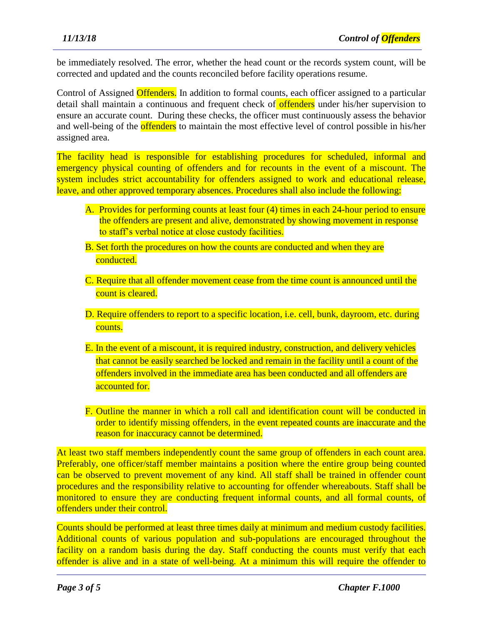be immediately resolved. The error, whether the head count or the records system count, will be corrected and updated and the counts reconciled before facility operations resume.

Control of Assigned Offenders. In addition to formal counts, each officer assigned to a particular detail shall maintain a continuous and frequent check of offenders under his/her supervision to ensure an accurate count. During these checks, the officer must continuously assess the behavior and well-being of the **offenders** to maintain the most effective level of control possible in his/her assigned area.

The facility head is responsible for establishing procedures for scheduled, informal and emergency physical counting of offenders and for recounts in the event of a miscount. The system includes strict accountability for offenders assigned to work and educational release, leave, and other approved temporary absences. Procedures shall also include the following:

- A. Provides for performing counts at least four (4) times in each 24-hour period to ensure the offenders are present and alive, demonstrated by showing movement in response to staff's verbal notice at close custody facilities.
- B. Set forth the procedures on how the counts are conducted and when they are conducted.
- C. Require that all offender movement cease from the time count is announced until the count is cleared.
- D. Require offenders to report to a specific location, *i.e.* cell, bunk, dayroom, etc. during counts.
- E. In the event of a miscount, it is required industry, construction, and delivery vehicles that cannot be easily searched be locked and remain in the facility until a count of the offenders involved in the immediate area has been conducted and all offenders are accounted for.
- F. Outline the manner in which a roll call and identification count will be conducted in order to identify missing offenders, in the event repeated counts are inaccurate and the reason for inaccuracy cannot be determined.

At least two staff members independently count the same group of offenders in each count area. Preferably, one officer/staff member maintains a position where the entire group being counted can be observed to prevent movement of any kind. All staff shall be trained in offender count procedures and the responsibility relative to accounting for offender whereabouts. Staff shall be monitored to ensure they are conducting frequent informal counts, and all formal counts, of offenders under their control.

Counts should be performed at least three times daily at minimum and medium custody facilities. Additional counts of various population and sub-populations are encouraged throughout the facility on a random basis during the day. Staff conducting the counts must verify that each offender is alive and in a state of well-being. At a minimum this will require the offender to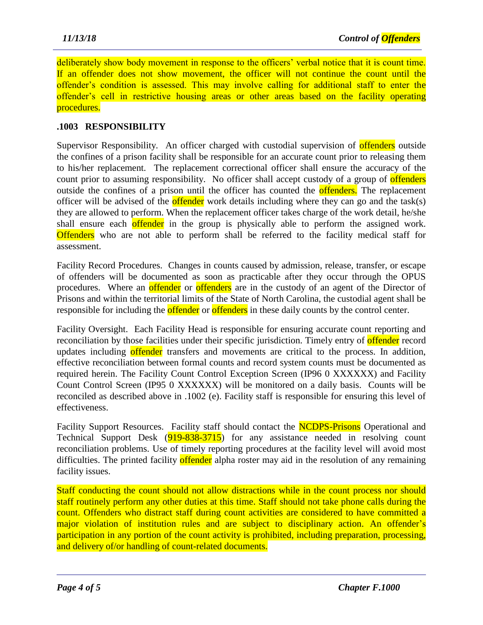deliberately show body movement in response to the officers' verbal notice that it is count time. If an offender does not show movement, the officer will not continue the count until the offender's condition is assessed. This may involve calling for additional staff to enter the offender's cell in restrictive housing areas or other areas based on the facility operating procedures.

## **.1003 RESPONSIBILITY**

Supervisor Responsibility. An officer charged with custodial supervision of **offenders** outside the confines of a prison facility shall be responsible for an accurate count prior to releasing them to his/her replacement. The replacement correctional officer shall ensure the accuracy of the count prior to assuming responsibility. No officer shall accept custody of a group of offenders outside the confines of a prison until the officer has counted the **offenders**. The replacement officer will be advised of the **offender** work details including where they can go and the task(s) they are allowed to perform. When the replacement officer takes charge of the work detail, he/she shall ensure each offender in the group is physically able to perform the assigned work. **Offenders** who are not able to perform shall be referred to the facility medical staff for assessment.

Facility Record Procedures. Changes in counts caused by admission, release, transfer, or escape of offenders will be documented as soon as practicable after they occur through the OPUS procedures. Where an **offender** or **offenders** are in the custody of an agent of the Director of Prisons and within the territorial limits of the State of North Carolina, the custodial agent shall be responsible for including the **offender** or **offenders** in these daily counts by the control center.

Facility Oversight. Each Facility Head is responsible for ensuring accurate count reporting and reconciliation by those facilities under their specific jurisdiction. Timely entry of **offender** record updates including offender transfers and movements are critical to the process. In addition, effective reconciliation between formal counts and record system counts must be documented as required herein. The Facility Count Control Exception Screen (IP96 0 XXXXXX) and Facility Count Control Screen (IP95 0 XXXXXX) will be monitored on a daily basis. Counts will be reconciled as described above in .1002 (e). Facility staff is responsible for ensuring this level of effectiveness.

Facility Support Resources. Facility staff should contact the **NCDPS-Prisons** Operational and Technical Support Desk (919-838-3715) for any assistance needed in resolving count reconciliation problems. Use of timely reporting procedures at the facility level will avoid most difficulties. The printed facility offender alpha roster may aid in the resolution of any remaining facility issues.

Staff conducting the count should not allow distractions while in the count process nor should staff routinely perform any other duties at this time. Staff should not take phone calls during the count. Offenders who distract staff during count activities are considered to have committed a major violation of institution rules and are subject to disciplinary action. An offender's participation in any portion of the count activity is prohibited, including preparation, processing, and delivery of/or handling of count-related documents.